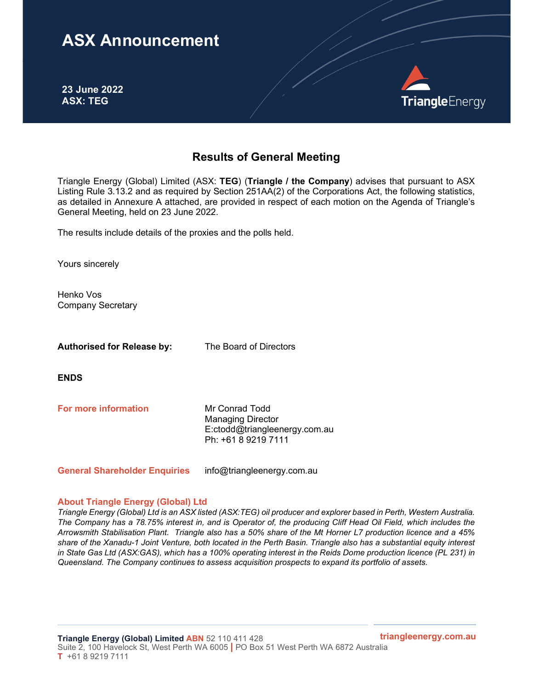## ASX Announcement

23 June 2022 ASX: TEG



## Results of General Meeting

Triangle Energy (Global) Limited (ASX: TEG) (Triangle / the Company) advises that pursuant to ASX Listing Rule 3.13.2 and as required by Section 251AA(2) of the Corporations Act, the following statistics, as detailed in Annexure A attached, are provided in respect of each motion on the Agenda of Triangle's General Meeting, held on 23 June 2022.

The results include details of the proxies and the polls held.

Yours sincerely

Henko Vos Company Secretary

Authorised for Release by: The Board of Directors

ENDS

**For more information** Mr Conrad Todd

Managing Director E:ctodd@triangleenergy.com.au Ph: +61 8 9219 7111

General Shareholder Enquiries info@triangleenergy.com.au

## About Triangle Energy (Global) Ltd

Triangle Energy (Global) Ltd is an ASX listed (ASX:TEG) oil producer and explorer based in Perth, Western Australia. The Company has a 78.75% interest in, and is Operator of, the producing Cliff Head Oil Field, which includes the Arrowsmith Stabilisation Plant. Triangle also has a 50% share of the Mt Horner L7 production licence and a 45% share of the Xanadu-1 Joint Venture, both located in the Perth Basin. Triangle also has a substantial equity interest in State Gas Ltd (ASX:GAS), which has a 100% operating interest in the Reids Dome production licence (PL 231) in Queensland. The Company continues to assess acquisition prospects to expand its portfolio of assets.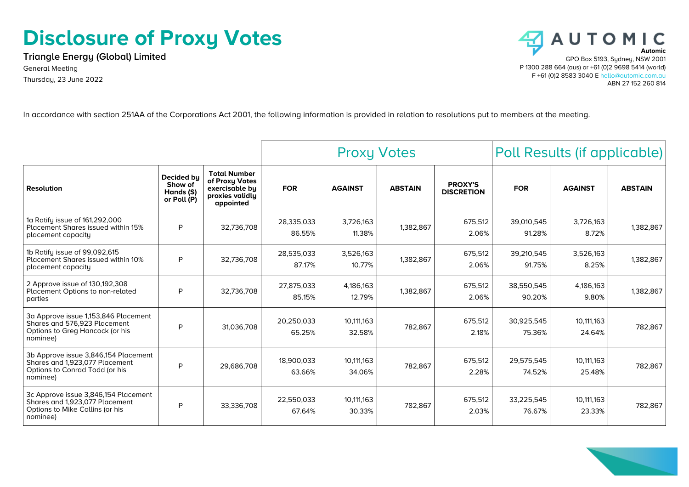## **Disclosure of Proxy Votes**

**Triangle Energy (Global) Limited** General Meeting Thursday, 23 June 2022



In accordance with section 251AA of the Corporations Act 2001, the following information is provided in relation to resolutions put to members at the meeting.

|                                                                                                                       |                                                          |                                                                                         | <b>Proxy Votes</b>   |                      |                | Poll Results (if applicable)        |                      |                      |                |
|-----------------------------------------------------------------------------------------------------------------------|----------------------------------------------------------|-----------------------------------------------------------------------------------------|----------------------|----------------------|----------------|-------------------------------------|----------------------|----------------------|----------------|
| <b>Resolution</b>                                                                                                     | <b>Decided bu</b><br>Show of<br>Hands (S)<br>or Poll (P) | <b>Total Number</b><br>of Proxy Votes<br>exercisable by<br>proxies validly<br>appointed | <b>FOR</b>           | <b>AGAINST</b>       | <b>ABSTAIN</b> | <b>PROXY'S</b><br><b>DISCRETION</b> | <b>FOR</b>           | <b>AGAINST</b>       | <b>ABSTAIN</b> |
| 1a Ratify issue of 161,292,000<br><b>Placement Shares issued within 15%</b><br>placement capacity                     | P                                                        | 32,736,708                                                                              | 28,335,033<br>86.55% | 3,726,163<br>11.38%  | 1,382,867      | 675,512<br>2.06%                    | 39,010,545<br>91.28% | 3,726,163<br>8.72%   | 1,382,867      |
| 1b Ratify issue of 99,092,615<br>Placement Shares issued within 10%<br>placement capacity                             | P                                                        | 32,736,708                                                                              | 28,535,033<br>87.17% | 3,526,163<br>10.77%  | 1,382,867      | 675,512<br>2.06%                    | 39,210,545<br>91.75% | 3,526,163<br>8.25%   | 1,382,867      |
| 2 Approve issue of 130,192,308<br>Placement Options to non-related<br>parties                                         | P                                                        | 32,736,708                                                                              | 27,875,033<br>85.15% | 4,186,163<br>12.79%  | 1,382,867      | 675,512<br>2.06%                    | 38,550,545<br>90.20% | 4,186,163<br>9.80%   | 1,382,867      |
| 3a Approve issue 1,153,846 Placement<br>Shares and 576,923 Placement<br>Options to Greg Hancock (or his<br>nominee)   | P                                                        | 31,036,708                                                                              | 20,250,033<br>65.25% | 10,111,163<br>32.58% | 782,867        | 675,512<br>2.18%                    | 30,925,545<br>75.36% | 10,111,163<br>24.64% | 782,867        |
| 3b Approve issue 3,846,154 Placement<br>Shares and 1,923,077 Placement<br>Options to Conrad Todd (or his<br>nominee)  | P                                                        | 29,686,708                                                                              | 18.900.033<br>63.66% | 10.111.163<br>34.06% | 782,867        | 675,512<br>2.28%                    | 29,575,545<br>74.52% | 10,111,163<br>25.48% | 782,867        |
| 3c Approve issue 3,846,154 Placement<br>Shares and 1,923,077 Placement<br>Options to Mike Collins (or his<br>nominee) | P                                                        | 33,336,708                                                                              | 22,550,033<br>67.64% | 10,111,163<br>30.33% | 782,867        | 675,512<br>2.03%                    | 33,225,545<br>76.67% | 10,111,163<br>23.33% | 782,867        |